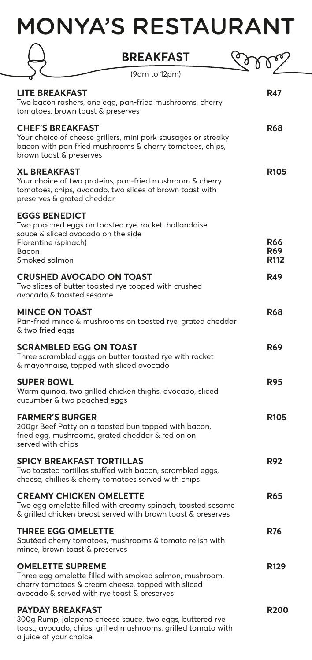# MONYA'S RESTAURANT

|                                                                                                              | <b>BREAKFAST</b>                                                                                                                                              |                                              |
|--------------------------------------------------------------------------------------------------------------|---------------------------------------------------------------------------------------------------------------------------------------------------------------|----------------------------------------------|
|                                                                                                              | (9am to 12pm)                                                                                                                                                 |                                              |
| <b>LITE BREAKFAST</b><br>tomatoes, brown toast & preserves                                                   | Two bacon rashers, one egg, pan-fried mushrooms, cherry                                                                                                       | R47                                          |
| <b>CHEF'S BREAKFAST</b><br>brown toast & preserves                                                           | Your choice of cheese grillers, mini pork sausages or streaky<br>bacon with pan fried mushrooms & cherry tomatoes, chips,                                     | <b>R68</b>                                   |
| <b>XL BREAKFAST</b><br>preserves & grated cheddar                                                            | Your choice of two proteins, pan-fried mushroom & cherry<br>tomatoes, chips, avocado, two slices of brown toast with                                          | <b>R105</b>                                  |
| <b>EGGS BENEDICT</b><br>sauce & sliced avocado on the side<br>Florentine (spinach)<br>Bacon<br>Smoked salmon | Two poached eggs on toasted rye, rocket, hollandaise                                                                                                          | <b>R66</b><br><b>R69</b><br>R <sub>112</sub> |
| avocado & toasted sesame                                                                                     | <b>CRUSHED AVOCADO ON TOAST</b><br>Two slices of butter toasted rye topped with crushed                                                                       | <b>R49</b>                                   |
| <b>MINCE ON TOAST</b><br>& two fried eggs                                                                    | Pan-fried mince & mushrooms on toasted rye, grated cheddar                                                                                                    | <b>R68</b>                                   |
| <b>SCRAMBLED EGG ON TOAST</b>                                                                                | Three scrambled eggs on butter toasted rye with rocket<br>& mayonnaise, topped with sliced avocado                                                            | <b>R69</b>                                   |
| <b>SUPER BOWL</b><br>cucumber & two poached eggs                                                             | Warm quinoa, two grilled chicken thighs, avocado, sliced                                                                                                      | <b>R95</b>                                   |
| <b>FARMER'S BURGER</b><br>served with chips                                                                  | 200gr Beef Patty on a toasted bun topped with bacon,<br>fried egg, mushrooms, grated cheddar & red onion                                                      | <b>R105</b>                                  |
|                                                                                                              | <b>SPICY BREAKFAST TORTILLAS</b><br>Two toasted tortillas stuffed with bacon, scrambled eggs,<br>cheese, chillies & cherry tomatoes served with chips         | <b>R92</b>                                   |
|                                                                                                              | <b>CREAMY CHICKEN OMELETTE</b><br>Two egg omelette filled with creamy spinach, toasted sesame<br>& grilled chicken breast served with brown toast & preserves | <b>R65</b>                                   |
| <b>THREE EGG OMELETTE</b><br>mince, brown toast & preserves                                                  | Sautéed cherry tomatoes, mushrooms & tomato relish with                                                                                                       | <b>R76</b>                                   |
| <b>OMELETTE SUPREME</b>                                                                                      | Three egg omelette filled with smoked salmon, mushroom,<br>cherry tomatoes & cream cheese, topped with sliced<br>avocado & served with rye toast & preserves  | <b>R129</b>                                  |
| <b>PAYDAY BREAKFAST</b>                                                                                      | 300g Rump, jalapeno cheese sauce, two eggs, buttered rye<br>toast, avocado, chips, grilled mushrooms, grilled tomato with                                     | <b>R200</b>                                  |

a juice of your choice